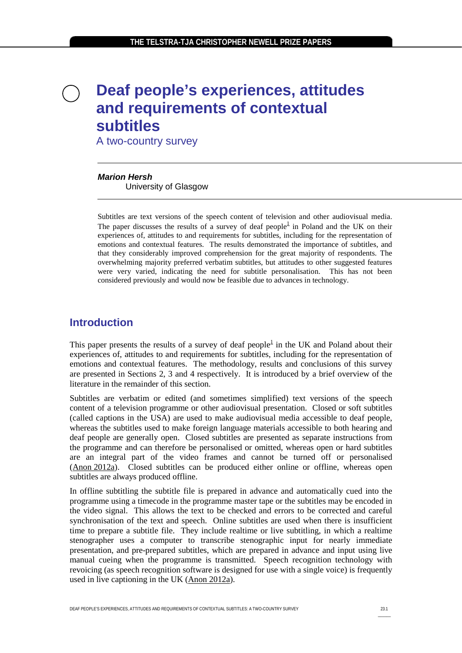# **Deaf people's experiences, attitudes and requirements of contextual subtitles**

A two-country survey

#### *Marion Hersh*

University of Glasgow

Subtitles are text versions of the speech content of television and other audiovisual media. Th[e](#page-13-0) paper discusses the results of a survey of deaf people<sup>1</sup> in Poland and the UK on their experiences of, attitudes to and requirements for subtitles, including for the representation of emotions and contextual features. The results demonstrated the importance of subtitles, and that they considerably improved comprehension for the great majority of respondents. The overwhelming majority preferred verbatim subtitles, but attitudes to other suggested features were very varied, indicating the need for subtitle personalisation. This has not been considered previously and would now be feasible due to advances in technology.

### **Introduction**

This paper presents the results of a survey of deaf people<sup>1</sup> in the UK and Poland about their experiences of, attitudes to and requirements for subtitles, including for the representation of emotions and contextual features. The methodology, results and conclusions of this survey are presented in Sections 2, 3 and 4 respectively. It is introduced by a brief overview of the literature in the remainder of this section.

Subtitles are verbatim or edited (and sometimes simplified) text versions of the speech content of a television programme or other audiovisual presentation. Closed or soft subtitles (called captions in the USA) are used to make audiovisual media accessible to deaf people, whereas the subtitles used to make foreign language materials accessible to both hearing and deaf people are generally open. Closed subtitles are presented as separate instructions from the programme and can therefore be personalised or omitted, whereas open or hard subtitles are an integral part of the video frames and cannot be turned off or personalised (Anon [2012a\)](#page-10-0). Closed subtitles can be produced either online or offline, whereas open subtitles are always produced offline.

In offline subtitling the subtitle file is prepared in advance and automatically cued into the programme using a timecode in the programme master tape or the subtitles may be encoded in the video signal. This allows the text to be checked and errors to be corrected and careful synchronisation of the text and speech. Online subtitles are used when there is insufficient time to prepare a subtitle file. They include realtime or live subtitling, in which a realtime stenographer uses a computer to transcribe stenographic input for nearly immediate presentation, and pre-prepared subtitles, which are prepared in advance and input using live manual cueing when the programme is transmitted. Speech recognition technology with revoicing (as speech recognition software is designed for use with a single voice) is frequently used in live captioning in the UK [\(Anon 2012a\)](#page-10-0).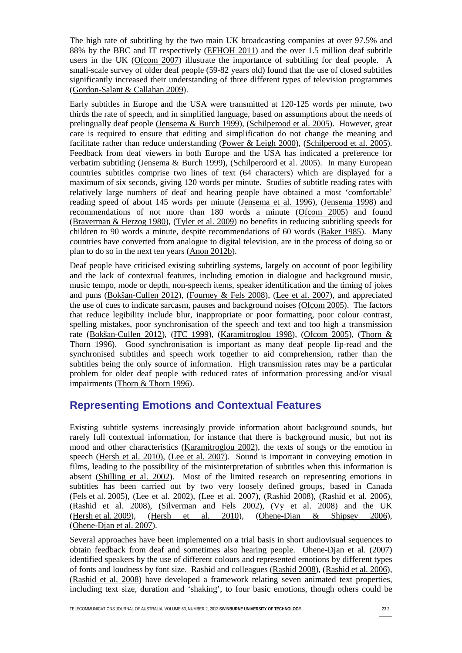The high rate of subtitling by the two main UK broadcasting companies at over 97.5% and 88% by the BBC and IT respectively [\(EFHOH 2011\)](#page-11-0) and the over 1.5 million deaf subtitle users in the UK [\(Ofcom 2007\)](#page-12-0) illustrate the importance of subtitling for deaf people. A small-scale survey of older deaf people (59-82 years old) found that the use of closed subtitles significantly increased their understanding of three different types of television programmes [\(Gordon-Salant & Callahan 2009\)](#page-11-1).

Early subtitles in Europe and the USA were transmitted at 120-125 words per minute, two thirds the rate of speech, and in simplified language, based on assumptions about the needs of prelingually deaf people [\(Jensema & Burch 1999\)](#page-12-1), [\(Schilperood et al. 2005\)](#page-12-2). However, great care is required to ensure that editing and simplification do not change the meaning and facilitate rather than reduce understanding [\(Power & Leigh 2000\)](#page-12-3), [\(Schilperood et al. 2005\)](#page-12-2). Feedback from deaf viewers in both Europe and the USA has indicated a preference for verbatim subtitling [\(Jensema & Burch 1999\)](#page-12-1), [\(Schilperoord et al. 2005\)](#page-12-2). In many European countries subtitles comprise two lines of text (64 characters) which are displayed for a maximum of six seconds, giving 120 words per minute. Studies of subtitle reading rates with relatively large numbers of deaf and hearing people have obtained a most 'comfortable' reading speed of about 145 words per minute [\(Jensema et al. 1996\)](#page-12-4), [\(Jensema 1998\)](#page-11-2) and recommendations of not more than 180 words a minute [\(Ofcom 2005\)](#page-12-5) and found [\(Braverman](#page-11-3) & Herzog 1980), [\(Tyler et al. 2009\)](#page-13-1) no benefits in reducing subtitling speeds for children to 90 words a minute, despite recommendations of 60 words [\(Baker 1985\)](#page-10-1). Many countries have converted from analogue to digital television, are in the process of doing so or plan to do so in the next ten years [\(Anon 2012b\)](#page-10-2).

Deaf people have criticised existing subtitling systems, largely on account of poor legibility and the lack of contextual features, including emotion in dialogue and background music, music tempo, mode or depth, non-speech items, speaker identification and the timing of jokes and puns [\(Bokšan-Cullen 2012\)](#page-10-3), [\(Fourney & Fels 2008\)](#page-11-4), [\(Lee et al. 2007\)](#page-12-6), and appreciated the use of cues to indicate sarcasm, pauses and background noises [\(Ofcom 2005\)](#page-12-5). The factors that reduce legibility include blur, inappropriate or poor formatting, poor colour contrast, spelling mistakes, poor synchronisation of the speech and text and too high a transmission rate [\(Bokšan-Cullen 2012\)](#page-10-3), [\(ITC 1999\)](#page-11-5), [\(Karamitroglou 1998\)](#page-12-7), [\(Ofcom 2005\)](#page-12-5), [\(Thorn &](#page-13-2)  [Thorn 1996\)](#page-13-2). Good synchronisation is important as many deaf people lip-read and the synchronised subtitles and speech work together to aid comprehension, rather than the subtitles being the only source of information. High transmission rates may be a particular problem for older deaf people with reduced rates of information processing and/or visual impairments [\(Thorn & Thorn 1996\)](#page-13-2).

#### **Representing Emotions and Contextual Features**

Existing subtitle systems increasingly provide information about background sounds, but rarely full contextual information, for instance that there is background music, but not its mood and other characteristics [\(Karamitroglou 2002\)](#page-12-7), the texts of songs or the emotion in speech [\(Hersh et al. 2010\)](#page-11-6), [\(Lee et al. 2007\)](#page-12-6). Sound is important in conveying emotion in films, leading to the possibility of the misinterpretation of subtitles when this information is absent [\(Shilling et al. 2002\)](#page-12-8). Most of the limited research on representing emotions in subtitles has been carried out by two very loosely defined groups, based in Canada (Fels et al. [2005\)](#page-11-7), [\(Lee et al. 2002\)](#page-12-9), [\(Lee et al. 2007\)](#page-12-6), [\(Rashid 2008\)](#page-12-10), [\(Rashid et al. 2006\)](#page-12-11), [\(Rashid et al. 2008\)](#page-12-12), [\(Silverman and Fels 2002\)](#page-13-3), [\(Vy et al. 2008\)](#page-13-4) and the UK [\(Hersh](#page-11-8) et al. 2009), [\(Hersh et al. 2010\)](#page-11-6), [\(Ohene-Djan & Shipsey 2006\)](#page-12-13), [\(Ohene-Djan](#page-12-14) et al. 2007).

Several approaches have been implemented on a trial basis in short audiovisual sequences to obtain feedback from deaf and sometimes also hearing people. [Ohene-Djan et al. \(2007\)](#page-12-14) identified speakers by the use of different colours and represented emotions by different types of fonts and loudness by font size. Rashid and colleagues [\(Rashid 2008\)](#page-12-10), [\(Rashid](#page-12-11) et al. 2006), [\(Rashid et al. 2008\)](#page-12-12) have developed a framework relating seven animated text properties, including text size, duration and 'shaking', to four basic emotions, though others could be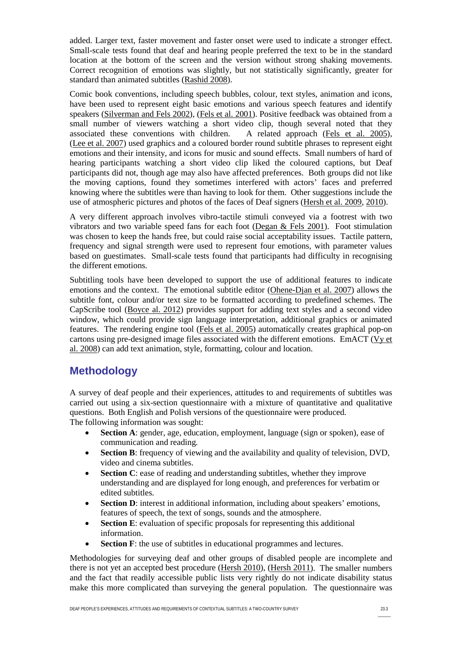added. Larger text, faster movement and faster onset were used to indicate a stronger effect. Small-scale tests found that deaf and hearing people preferred the text to be in the standard location at the bottom of the screen and the version without strong shaking movements. Correct recognition of emotions was slightly, but not statistically significantly, greater for standard than animated subtitles [\(Rashid 2008\)](#page-12-10).

Comic book conventions, including speech bubbles, colour, text styles, animation and icons, have been used to represent eight basic emotions and various speech features and identify speakers [\(Silverman and Fels 2002\)](#page-13-3), [\(Fels et al. 2001\)](#page-11-9). Positive feedback was obtained from a small number of viewers watching a short video clip, though several noted that they associated these conventions with children. A related approach (Fels et al. 2005). associated these conventions with children. (Lee et al. [2007\)](#page-12-6) used graphics and a coloured border round subtitle phrases to represent eight emotions and their intensity, and icons for music and sound effects. Small numbers of hard of hearing participants watching a short video clip liked the coloured captions, but Deaf participants did not, though age may also have affected preferences. Both groups did not like the moving captions, found they sometimes interfered with actors' faces and preferred knowing where the subtitles were than having to look for them. Other suggestions include the use of atmospheric pictures and photos of the faces of Deaf signers [\(Hersh et al. 2009,](#page-11-8) [2010\)](#page-11-6).

A very different approach involves vibro-tactile stimuli conveyed via a footrest with two vibrators and two variable speed fans for each foot [\(Degan & Fels 2001\)](#page-11-10). Foot stimulation was chosen to keep the hands free, but could raise social acceptability issues. Tactile pattern, frequency and signal strength were used to represent four emotions, with parameter values based on guestimates. Small-scale tests found that participants had difficulty in recognising the different emotions.

Subtitling tools have been developed to support the use of additional features to indicate emotions and the context. The emotional subtitle editor [\(Ohene-Djan et al. 2007\)](#page-12-14) allows the subtitle font, colour and/or text size to be formatted according to predefined schemes. The CapScribe tool [\(Boyce al. 2012\)](#page-11-11) provides support for adding text styles and a second video window, which could provide sign language interpretation, additional graphics or animated features. The rendering engine tool [\(Fels et al. 2005\)](#page-11-7) automatically creates graphical pop-on cartons using pre-designed image files associated with the different emotions. EmACT [\(Vy](#page-13-4) et [al. 2008\)](#page-13-4) can add text animation, style, formatting, colour and location.

# **Methodology**

A survey of deaf people and their experiences, attitudes to and requirements of subtitles was carried out using a six-section questionnaire with a mixture of quantitative and qualitative questions. Both English and Polish versions of the questionnaire were produced. The following information was sought:

- **Section A**: gender, age, education, employment, language (sign or spoken), ease of communication and reading.
- **Section B**: frequency of viewing and the availability and quality of television, DVD, video and cinema subtitles.
- **Section C**: ease of reading and understanding subtitles, whether they improve understanding and are displayed for long enough, and preferences for verbatim or edited subtitles.
- **Section D**: interest in additional information, including about speakers' emotions, features of speech, the text of songs, sounds and the atmosphere.
- **Section E**: evaluation of specific proposals for representing this additional information.
- **Section F**: the use of subtitles in educational programmes and lectures.

Methodologies for surveying deaf and other groups of disabled people are incomplete and there is not yet an accepted best procedure [\(Hersh 2010\)](#page-11-12), [\(Hersh 2011\)](#page-11-13). The smaller numbers and the fact that readily accessible public lists very rightly do not indicate disability status make this more complicated than surveying the general population. The questionnaire was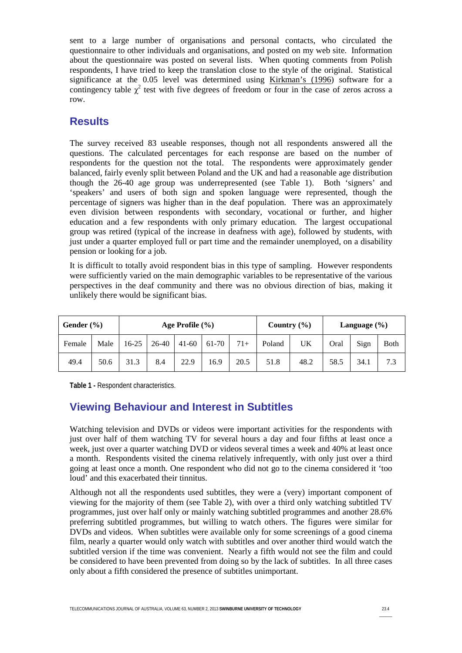sent to a large number of organisations and personal contacts, who circulated the questionnaire to other individuals and organisations, and posted on my web site. Information about the questionnaire was posted on several lists. When quoting comments from Polish respondents, I have tried to keep the translation close to the style of the original. Statistical significance at the 0.05 level was determined using [Kirkman's \(1996\)](#page-12-15) software for a contingency table  $\chi^2$  test with five degrees of freedom or four in the case of zeros across a row.

#### **Results**

The survey received 83 useable responses, though not all respondents answered all the questions. The calculated percentages for each response are based on the number of respondents for the question not the total. The respondents were approximately gender balanced, fairly evenly split between Poland and the UK and had a reasonable age distribution though the 26-40 age group was underrepresented (see Table 1). Both 'signers' and 'speakers' and users of both sign and spoken language were represented, though the percentage of signers was higher than in the deaf population. There was an approximately even division between respondents with secondary, vocational or further, and higher education and a few respondents with only primary education. The largest occupational group was retired (typical of the increase in deafness with age), followed by students, with just under a quarter employed full or part time and the remainder unemployed, on a disability pension or looking for a job.

It is difficult to totally avoid respondent bias in this type of sampling. However respondents were sufficiently varied on the main demographic variables to be representative of the various perspectives in the deaf community and there was no obvious direction of bias, making it unlikely there would be significant bias.

| Gender $(\% )$ |      | Age Profile $(\% )$ |       |           |       |       | Country $(\% )$ |      | Language $(\% )$ |      |              |
|----------------|------|---------------------|-------|-----------|-------|-------|-----------------|------|------------------|------|--------------|
| Female         | Male | 16-25               | 26-40 | $41 - 60$ | 61-70 | $71+$ | Poland          | UK   | Oral             | Sign | <b>B</b> oth |
| 49.4           | 50.6 | 31.3                | 8.4   | 22.9      | 16.9  | 20.5  | 51.8            | 48.2 | 58.5             | 34.1 | 7.3          |

**Table 1 -** Respondent characteristics.

# **Viewing Behaviour and Interest in Subtitles**

Watching television and DVDs or videos were important activities for the respondents with just over half of them watching TV for several hours a day and four fifths at least once a week, just over a quarter watching DVD or videos several times a week and 40% at least once a month. Respondents visited the cinema relatively infrequently, with only just over a third going at least once a month. One respondent who did not go to the cinema considered it 'too loud' and this exacerbated their tinnitus.

Although not all the respondents used subtitles, they were a (very) important component of viewing for the majority of them (see Table 2), with over a third only watching subtitled TV programmes, just over half only or mainly watching subtitled programmes and another 28.6% preferring subtitled programmes, but willing to watch others. The figures were similar for DVDs and videos. When subtitles were available only for some screenings of a good cinema film, nearly a quarter would only watch with subtitles and over another third would watch the subtitled version if the time was convenient. Nearly a fifth would not see the film and could be considered to have been prevented from doing so by the lack of subtitles. In all three cases only about a fifth considered the presence of subtitles unimportant.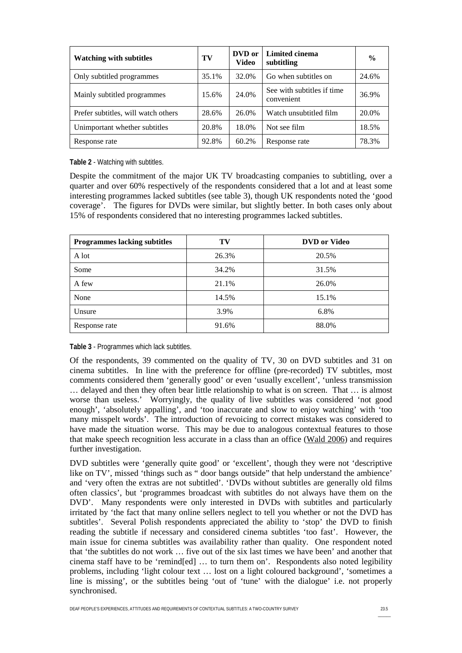| <b>Watching with subtitles</b>      | TV    | DVD or<br>Video | Limited cinema<br>subtitling             | $\frac{0}{0}$ |
|-------------------------------------|-------|-----------------|------------------------------------------|---------------|
| Only subtitled programmes           | 35.1% | 32.0%           | Go when subtitles on                     | 24.6%         |
| Mainly subtitled programmes         | 15.6% | 24.0%           | See with subtitles if time<br>convenient | 36.9%         |
| Prefer subtitles, will watch others | 28.6% | 26.0%           | Watch unsubtitled film                   | 20.0%         |
| Unimportant whether subtitles       | 20.8% | 18.0%           | Not see film                             | 18.5%         |
| Response rate                       | 92.8% | 60.2%           | Response rate                            | 78.3%         |

**Table 2** - Watching with subtitles.

Despite the commitment of the major UK TV broadcasting companies to subtitling, over a quarter and over 60% respectively of the respondents considered that a lot and at least some interesting programmes lacked subtitles (see table 3), though UK respondents noted the 'good coverage'. The figures for DVDs were similar, but slightly better. In both cases only about 15% of respondents considered that no interesting programmes lacked subtitles.

| <b>Programmes lacking subtitles</b> | TV    | <b>DVD</b> or Video |
|-------------------------------------|-------|---------------------|
| A lot                               | 26.3% | 20.5%               |
| Some                                | 34.2% | 31.5%               |
| A few                               | 21.1% | 26.0%               |
| None                                | 14.5% | 15.1%               |
| Unsure                              | 3.9%  | 6.8%                |
| Response rate                       | 91.6% | 88.0%               |

**Table 3** - Programmes which lack subtitles.

Of the respondents, 39 commented on the quality of TV, 30 on DVD subtitles and 31 on cinema subtitles. In line with the preference for offline (pre-recorded) TV subtitles, most comments considered them 'generally good' or even 'usually excellent', 'unless transmission … delayed and then they often bear little relationship to what is on screen. That … is almost worse than useless.' Worryingly, the quality of live subtitles was considered 'not good enough', 'absolutely appalling', and 'too inaccurate and slow to enjoy watching' with 'too many misspelt words'. The introduction of revoicing to correct mistakes was considered to have made the situation worse. This may be due to analogous contextual features to those that make speech recognition less accurate in a class than an office [\(Wald 2006\)](#page-13-5) and requires further investigation.

DVD subtitles were 'generally quite good' or 'excellent', though they were not 'descriptive like on TV', missed 'things such as " door bangs outside" that help understand the ambience' and 'very often the extras are not subtitled'. 'DVDs without subtitles are generally old films often classics', but 'programmes broadcast with subtitles do not always have them on the DVD'. Many respondents were only interested in DVDs with subtitles and particularly irritated by 'the fact that many online sellers neglect to tell you whether or not the DVD has subtitles'. Several Polish respondents appreciated the ability to 'stop' the DVD to finish reading the subtitle if necessary and considered cinema subtitles 'too fast'. However, the main issue for cinema subtitles was availability rather than quality. One respondent noted that 'the subtitles do not work … five out of the six last times we have been' and another that cinema staff have to be 'remind[ed] … to turn them on'. Respondents also noted legibility problems, including 'light colour text … lost on a light coloured background', 'sometimes a line is missing', or the subtitles being 'out of 'tune' with the dialogue' i.e. not properly synchronised.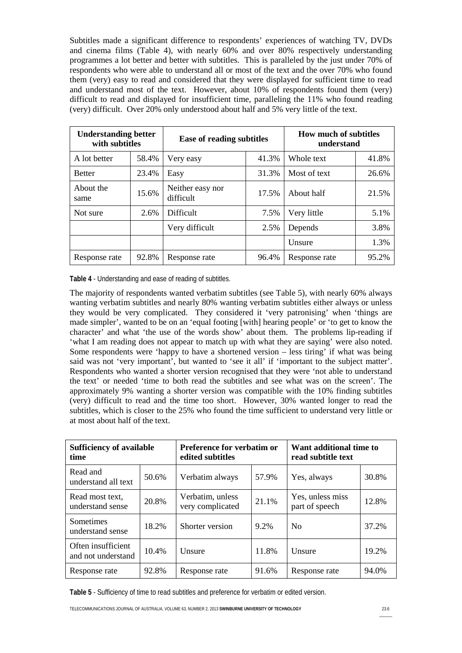Subtitles made a significant difference to respondents' experiences of watching TV, DVDs and cinema films (Table 4), with nearly 60% and over 80% respectively understanding programmes a lot better and better with subtitles. This is paralleled by the just under 70% of respondents who were able to understand all or most of the text and the over 70% who found them (very) easy to read and considered that they were displayed for sufficient time to read and understand most of the text. However, about 10% of respondents found them (very) difficult to read and displayed for insufficient time, paralleling the 11% who found reading (very) difficult. Over 20% only understood about half and 5% very little of the text.

| <b>Understanding better</b><br>with subtitles |       | <b>Ease of reading subtitles</b> |       | <b>How much of subtitles</b><br>understand |       |  |
|-----------------------------------------------|-------|----------------------------------|-------|--------------------------------------------|-------|--|
| A lot better                                  | 58.4% | Very easy                        | 41.3% | Whole text                                 | 41.8% |  |
| <b>Better</b>                                 | 23.4% | Easy                             | 31.3% | Most of text                               | 26.6% |  |
| About the<br>same                             | 15.6% | Neither easy nor<br>difficult    | 17.5% | About half                                 | 21.5% |  |
| Not sure                                      | 2.6%  | Difficult                        | 7.5%  | Very little                                | 5.1%  |  |
|                                               |       | Very difficult<br>2.5%           |       | Depends                                    | 3.8%  |  |
|                                               |       |                                  |       | <b>Unsure</b>                              | 1.3%  |  |
| Response rate                                 | 92.8% | Response rate                    | 96.4% | Response rate                              | 95.2% |  |

**Table 4** - Understanding and ease of reading of subtitles.

The majority of respondents wanted verbatim subtitles (see Table 5), with nearly 60% always wanting verbatim subtitles and nearly 80% wanting verbatim subtitles either always or unless they would be very complicated. They considered it 'very patronising' when 'things are made simpler', wanted to be on an 'equal footing [with] hearing people' or 'to get to know the character' and what 'the use of the words show' about them. The problems lip-reading if 'what I am reading does not appear to match up with what they are saying' were also noted. Some respondents were 'happy to have a shortened version – less tiring' if what was being said was not 'very important', but wanted to 'see it all' if 'important to the subject matter'. Respondents who wanted a shorter version recognised that they were 'not able to understand the text' or needed 'time to both read the subtitles and see what was on the screen'. The approximately 9% wanting a shorter version was compatible with the 10% finding subtitles (very) difficult to read and the time too short. However, 30% wanted longer to read the subtitles, which is closer to the 25% who found the time sufficient to understand very little or at most about half of the text.

| <b>Sufficiency of available</b><br>time           |       | <b>Preference for verbatim or</b><br>edited subtitles |         | Want additional time to<br>read subtitle text |       |  |
|---------------------------------------------------|-------|-------------------------------------------------------|---------|-----------------------------------------------|-------|--|
| Read and<br>understand all text                   | 50.6% | Verbatim always                                       | 57.9%   | Yes, always                                   | 30.8% |  |
| Read most text,<br>understand sense               | 20.8% | Verbatim, unless<br>very complicated                  | 21.1%   | Yes, unless miss<br>part of speech            | 12.8% |  |
| Sometimes<br>understand sense                     | 18.2% | Shorter version                                       | $9.2\%$ | N <sub>0</sub>                                | 37.2% |  |
| Often insufficient<br>10.4%<br>and not understand |       | Unsure                                                | 11.8%   | Unsure                                        | 19.2% |  |
| 92.8%<br>Response rate                            |       | Response rate                                         | 91.6%   | Response rate                                 | 94.0% |  |

**Table 5** - Sufficiency of time to read subtitles and preference for verbatim or edited version.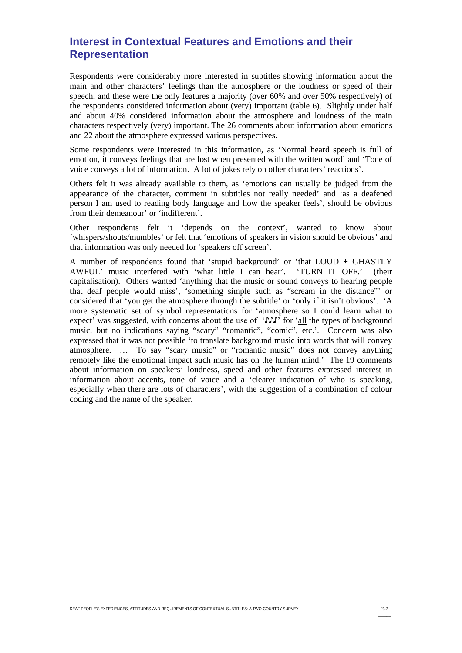# **Interest in Contextual Features and Emotions and their Representation**

Respondents were considerably more interested in subtitles showing information about the main and other characters' feelings than the atmosphere or the loudness or speed of their speech, and these were the only features a majority (over 60% and over 50% respectively) of the respondents considered information about (very) important (table 6). Slightly under half and about 40% considered information about the atmosphere and loudness of the main characters respectively (very) important. The 26 comments about information about emotions and 22 about the atmosphere expressed various perspectives.

Some respondents were interested in this information, as 'Normal heard speech is full of emotion, it conveys feelings that are lost when presented with the written word' and 'Tone of voice conveys a lot of information. A lot of jokes rely on other characters' reactions'.

Others felt it was already available to them, as 'emotions can usually be judged from the appearance of the character, comment in subtitles not really needed' and 'as a deafened person I am used to reading body language and how the speaker feels', should be obvious from their demeanour' or 'indifferent'.

Other respondents felt it 'depends on the context', wanted to know about 'whispers/shouts/mumbles' or felt that 'emotions of speakers in vision should be obvious' and that information was only needed for 'speakers off screen'.

A number of respondents found that 'stupid background' or 'that LOUD + GHASTLY AWFUL' music interfered with 'what little I can hear'. 'TURN IT OFF.' (their capitalisation). Others wanted 'anything that the music or sound conveys to hearing people that deaf people would miss', 'something simple such as "scream in the distance"' or considered that 'you get the atmosphere through the subtitle' or 'only if it isn't obvious'. 'A more systematic set of symbol representations for 'atmosphere so I could learn what to expect' was suggested, with concerns about the use of ' $\mathcal{F} \mathcal{F}$ ' for 'all the types of background music, but no indications saying "scary" "romantic", "comic", etc.'. Concern was also expressed that it was not possible 'to translate background music into words that will convey atmosphere. … To say "scary music" or "romantic music" does not convey anything remotely like the emotional impact such music has on the human mind.' The 19 comments about information on speakers' loudness, speed and other features expressed interest in information about accents, tone of voice and a 'clearer indication of who is speaking, especially when there are lots of characters', with the suggestion of a combination of colour coding and the name of the speaker.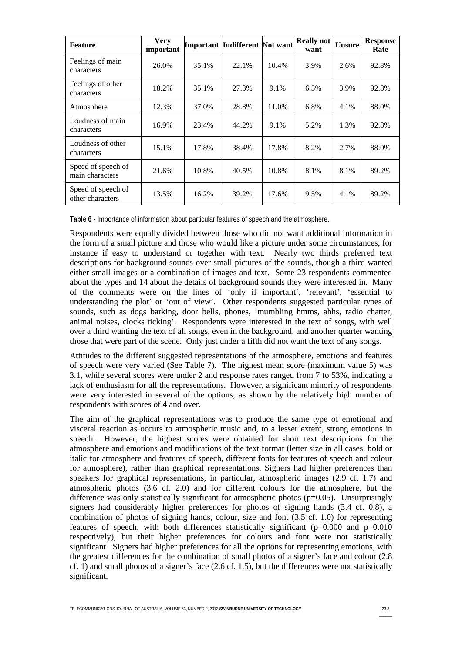| <b>Feature</b>                           | <b>Very</b><br>important |       | Important Indifferent Not want |       | <b>Really not</b><br>want | <b>Unsure</b> | <b>Response</b><br>Rate |
|------------------------------------------|--------------------------|-------|--------------------------------|-------|---------------------------|---------------|-------------------------|
| Feelings of main<br>characters           | 26.0%                    | 35.1% | 22.1%                          | 10.4% | 3.9%                      | 2.6%          | 92.8%                   |
| Feelings of other<br>characters          | 18.2%                    | 35.1% | 27.3%                          | 9.1%  | 6.5%                      | 3.9%          | 92.8%                   |
| Atmosphere                               | 12.3%                    | 37.0% | 28.8%                          | 11.0% | 6.8%                      | 4.1%          | 88.0%                   |
| Loudness of main<br>characters           | 16.9%                    | 23.4% | 44.2%                          | 9.1%  | 5.2%                      | 1.3%          | 92.8%                   |
| Loudness of other<br>15.1%<br>characters |                          | 17.8% | 38.4%                          | 17.8% | 8.2%                      | 2.7%          | 88.0%                   |
| Speed of speech of<br>main characters    | 21.6%                    | 10.8% | 40.5%                          | 10.8% | 8.1%                      | 8.1%          | 89.2%                   |
| Speed of speech of<br>other characters   | 13.5%                    | 16.2% | 39.2%                          | 17.6% | 9.5%                      | 4.1%          | 89.2%                   |

**Table 6** - Importance of information about particular features of speech and the atmosphere.

Respondents were equally divided between those who did not want additional information in the form of a small picture and those who would like a picture under some circumstances, for instance if easy to understand or together with text. Nearly two thirds preferred text descriptions for background sounds over small pictures of the sounds, though a third wanted either small images or a combination of images and text. Some 23 respondents commented about the types and 14 about the details of background sounds they were interested in. Many of the comments were on the lines of 'only if important', 'relevant', 'essential to understanding the plot' or 'out of view'. Other respondents suggested particular types of sounds, such as dogs barking, door bells, phones, 'mumbling hmms, ahhs, radio chatter, animal noises, clocks ticking'. Respondents were interested in the text of songs, with well over a third wanting the text of all songs, even in the background, and another quarter wanting those that were part of the scene. Only just under a fifth did not want the text of any songs.

Attitudes to the different suggested representations of the atmosphere, emotions and features of speech were very varied (See Table 7). The highest mean score (maximum value 5) was 3.1, while several scores were under 2 and response rates ranged from 7 to 53%, indicating a lack of enthusiasm for all the representations. However, a significant minority of respondents were very interested in several of the options, as shown by the relatively high number of respondents with scores of 4 and over.

The aim of the graphical representations was to produce the same type of emotional and visceral reaction as occurs to atmospheric music and, to a lesser extent, strong emotions in speech. However, the highest scores were obtained for short text descriptions for the atmosphere and emotions and modifications of the text format (letter size in all cases, bold or italic for atmosphere and features of speech, different fonts for features of speech and colour for atmosphere), rather than graphical representations. Signers had higher preferences than speakers for graphical representations, in particular, atmospheric images (2.9 cf. 1.7) and atmospheric photos (3.6 cf. 2.0) and for different colours for the atmosphere, but the difference was only statistically significant for atmospheric photos ( $p=0.05$ ). Unsurprisingly signers had considerably higher preferences for photos of signing hands (3.4 cf. 0.8), a combination of photos of signing hands, colour, size and font (3.5 cf. 1.0) for representing features of speech, with both differences statistically significant  $(p=0.000$  and  $p=0.010$ respectively), but their higher preferences for colours and font were not statistically significant. Signers had higher preferences for all the options for representing emotions, with the greatest differences for the combination of small photos of a signer's face and colour (2.8 cf. 1) and small photos of a signer's face  $(2.6 \text{ cf. } 1.5)$ , but the differences were not statistically significant.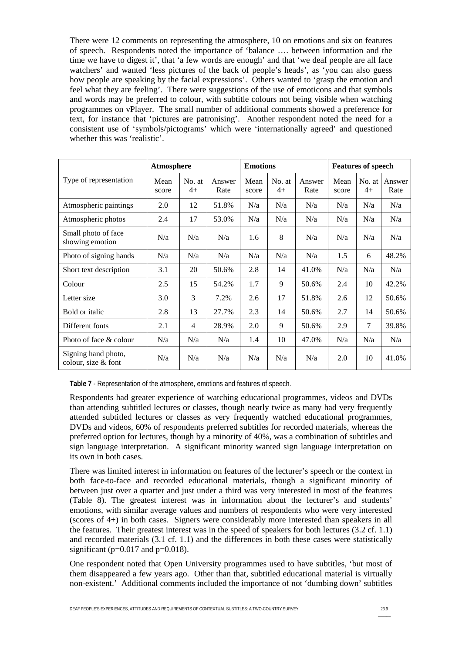There were 12 comments on representing the atmosphere, 10 on emotions and six on features of speech. Respondents noted the importance of 'balance …. between information and the time we have to digest it', that 'a few words are enough' and that 'we deaf people are all face watchers' and wanted 'less pictures of the back of people's heads', as 'you can also guess how people are speaking by the facial expressions'. Others wanted to 'grasp the emotion and feel what they are feeling'. There were suggestions of the use of emoticons and that symbols and words may be preferred to colour, with subtitle colours not being visible when watching programmes on vPlayer. The small number of additional comments showed a preference for text, for instance that 'pictures are patronising'. Another respondent noted the need for a consistent use of 'symbols/pictograms' which were 'internationally agreed' and questioned whether this was 'realistic'.

|                                            |               | Atmosphere     |                |               | <b>Emotions</b> |                |               | <b>Features of speech</b> |                |  |
|--------------------------------------------|---------------|----------------|----------------|---------------|-----------------|----------------|---------------|---------------------------|----------------|--|
| Type of representation                     | Mean<br>score | No. at<br>$4+$ | Answer<br>Rate | Mean<br>score | No. at<br>$4+$  | Answer<br>Rate | Mean<br>score | No. at<br>$4+$            | Answer<br>Rate |  |
| Atmospheric paintings                      | 2.0           | 12             | 51.8%          | N/a           | N/a             | N/a            | N/a           | N/a                       | N/a            |  |
| Atmospheric photos                         | 2.4           | 17             | 53.0%          | N/a           | N/a             | N/a            | N/a           | N/a                       | N/a            |  |
| Small photo of face<br>showing emotion     | N/a           | N/a            | N/a            | 1.6           | 8               | N/a            | N/a           | N/a                       | N/a            |  |
| Photo of signing hands                     | N/a           | N/a            | N/a            | N/a           | N/a             | N/a            | 1.5           | 6                         | 48.2%          |  |
| Short text description                     | 3.1           | 20             | 50.6%          | 2.8           | 14              | 41.0%          | N/a           | N/a                       | N/a            |  |
| Colour                                     | 2.5           | 15             | 54.2%          | 1.7           | 9               | 50.6%          | 2.4           | 10                        | 42.2%          |  |
| Letter size                                | 3.0           | 3              | 7.2%           | 2.6           | 17              | 51.8%          | 2.6           | 12                        | 50.6%          |  |
| Bold or italic                             | 2.8           | 13             | 27.7%          | 2.3           | 14              | 50.6%          | 2.7           | 14                        | 50.6%          |  |
| Different fonts                            | 2.1           | 4              | 28.9%          | 2.0           | 9               | 50.6%          | 2.9           | $\tau$                    | 39.8%          |  |
| Photo of face & colour                     | N/a           | N/a            | N/a            | 1.4           | 10              | 47.0%          | N/a           | N/a                       | N/a            |  |
| Signing hand photo,<br>colour, size & font | N/a           | N/a            | N/a            | N/a           | N/a             | N/a            | 2.0           | 10                        | 41.0%          |  |

**Table 7** - Representation of the atmosphere, emotions and features of speech.

Respondents had greater experience of watching educational programmes, videos and DVDs than attending subtitled lectures or classes, though nearly twice as many had very frequently attended subtitled lectures or classes as very frequently watched educational programmes, DVDs and videos, 60% of respondents preferred subtitles for recorded materials, whereas the preferred option for lectures, though by a minority of 40%, was a combination of subtitles and sign language interpretation. A significant minority wanted sign language interpretation on its own in both cases.

There was limited interest in information on features of the lecturer's speech or the context in both face-to-face and recorded educational materials, though a significant minority of between just over a quarter and just under a third was very interested in most of the features (Table 8). The greatest interest was in information about the lecturer's and students' emotions, with similar average values and numbers of respondents who were very interested (scores of 4+) in both cases. Signers were considerably more interested than speakers in all the features. Their greatest interest was in the speed of speakers for both lectures (3.2 cf. 1.1) and recorded materials (3.1 cf. 1.1) and the differences in both these cases were statistically significant ( $p=0.017$  and  $p=0.018$ ).

One respondent noted that Open University programmes used to have subtitles, 'but most of them disappeared a few years ago. Other than that, subtitled educational material is virtually non-existent.' Additional comments included the importance of not 'dumbing down' subtitles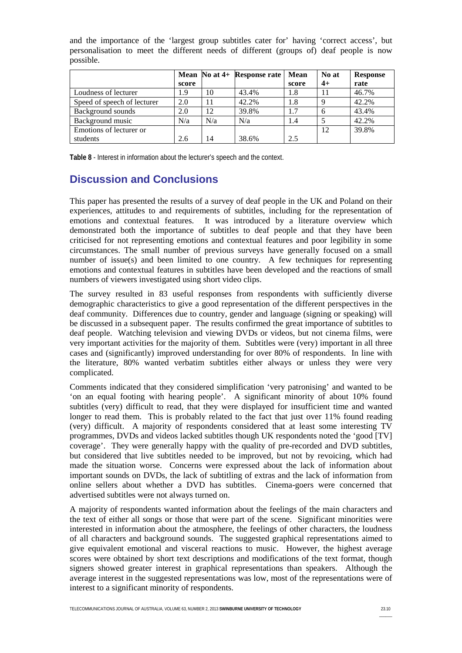| boppine:                    |       |     |                                           |             |       |                 |
|-----------------------------|-------|-----|-------------------------------------------|-------------|-------|-----------------|
|                             |       |     | Mean $\overline{N}$ o at 4+ Response rate | <b>Mean</b> | No at | <b>Response</b> |
|                             | score |     |                                           | score       | $4+$  | rate            |
| Loudness of lecturer        | 1.9   | 10  | 43.4%                                     | 1.8         |       | 46.7%           |
| Speed of speech of lecturer | 2.0   | 11  | 42.2%                                     | 1.8         | 9     | 42.2%           |
| Background sounds           | 2.0   | 12  | 39.8%                                     | 1.7         | 6     | 43.4%           |
| Background music            | N/a   | N/a | N/a                                       | 1.4         |       | 42.2%           |
| Emotions of lecturer or     |       |     |                                           |             | 12    | 39.8%           |
| students                    | 2.6   | 14  | 38.6%                                     | 2.5         |       |                 |

and the importance of the 'largest group subtitles cater for' having 'correct access', but personalisation to meet the different needs of different (groups of) deaf people is now possible.

**Table 8** - Interest in information about the lecturer's speech and the context.

#### **Discussion and Conclusions**

This paper has presented the results of a survey of deaf people in the UK and Poland on their experiences, attitudes to and requirements of subtitles, including for the representation of emotions and contextual features. It was introduced by a literature overview which demonstrated both the importance of subtitles to deaf people and that they have been criticised for not representing emotions and contextual features and poor legibility in some circumstances. The small number of previous surveys have generally focused on a small number of issue(s) and been limited to one country. A few techniques for representing emotions and contextual features in subtitles have been developed and the reactions of small numbers of viewers investigated using short video clips.

The survey resulted in 83 useful responses from respondents with sufficiently diverse demographic characteristics to give a good representation of the different perspectives in the deaf community. Differences due to country, gender and language (signing or speaking) will be discussed in a subsequent paper. The results confirmed the great importance of subtitles to deaf people. Watching television and viewing DVDs or videos, but not cinema films, were very important activities for the majority of them. Subtitles were (very) important in all three cases and (significantly) improved understanding for over 80% of respondents. In line with the literature, 80% wanted verbatim subtitles either always or unless they were very complicated.

Comments indicated that they considered simplification 'very patronising' and wanted to be 'on an equal footing with hearing people'. A significant minority of about 10% found subtitles (very) difficult to read, that they were displayed for insufficient time and wanted longer to read them. This is probably related to the fact that just over 11% found reading (very) difficult. A majority of respondents considered that at least some interesting TV programmes, DVDs and videos lacked subtitles though UK respondents noted the 'good [TV] coverage'. They were generally happy with the quality of pre-recorded and DVD subtitles, but considered that live subtitles needed to be improved, but not by revoicing, which had made the situation worse. Concerns were expressed about the lack of information about important sounds on DVDs, the lack of subtitling of extras and the lack of information from online sellers about whether a DVD has subtitles. Cinema-goers were concerned that advertised subtitles were not always turned on.

A majority of respondents wanted information about the feelings of the main characters and the text of either all songs or those that were part of the scene. Significant minorities were interested in information about the atmosphere, the feelings of other characters, the loudness of all characters and background sounds. The suggested graphical representations aimed to give equivalent emotional and visceral reactions to music. However, the highest average scores were obtained by short text descriptions and modifications of the text format, though signers showed greater interest in graphical representations than speakers. Although the average interest in the suggested representations was low, most of the representations were of interest to a significant minority of respondents.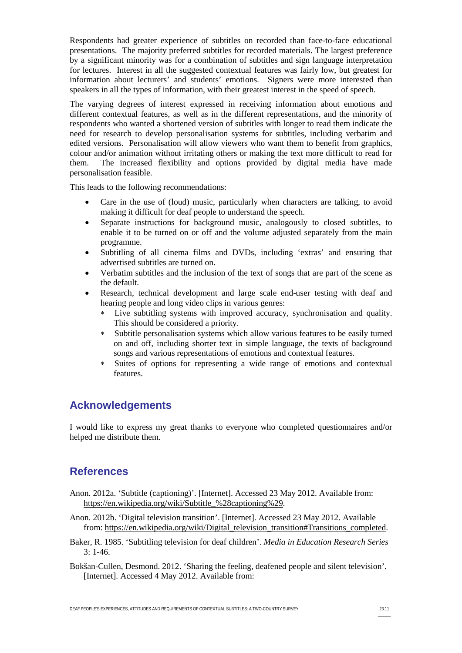Respondents had greater experience of subtitles on recorded than face-to-face educational presentations. The majority preferred subtitles for recorded materials. The largest preference by a significant minority was for a combination of subtitles and sign language interpretation for lectures. Interest in all the suggested contextual features was fairly low, but greatest for information about lecturers' and students' emotions. Signers were more interested than speakers in all the types of information, with their greatest interest in the speed of speech.

The varying degrees of interest expressed in receiving information about emotions and different contextual features, as well as in the different representations, and the minority of respondents who wanted a shortened version of subtitles with longer to read them indicate the need for research to develop personalisation systems for subtitles, including verbatim and edited versions. Personalisation will allow viewers who want them to benefit from graphics, colour and/or animation without irritating others or making the text more difficult to read for them. The increased flexibility and options provided by digital media have made personalisation feasible.

This leads to the following recommendations:

- Care in the use of (loud) music, particularly when characters are talking, to avoid making it difficult for deaf people to understand the speech.
- Separate instructions for background music, analogously to closed subtitles, to enable it to be turned on or off and the volume adjusted separately from the main programme.
- Subtitling of all cinema films and DVDs, including 'extras' and ensuring that advertised subtitles are turned on.
- Verbatim subtitles and the inclusion of the text of songs that are part of the scene as the default.
- Research, technical development and large scale end-user testing with deaf and hearing people and long video clips in various genres:
	- Live subtitling systems with improved accuracy, synchronisation and quality. This should be considered a priority.
	- Subtitle personalisation systems which allow various features to be easily turned on and off, including shorter text in simple language, the texts of background songs and various representations of emotions and contextual features.
	- Suites of options for representing a wide range of emotions and contextual features.

# **Acknowledgements**

I would like to express my great thanks to everyone who completed questionnaires and/or helped me distribute them.

# **References**

- <span id="page-10-0"></span>Anon. 2012a. 'Subtitle (captioning)'. [Internet]. Accessed 23 May 2012. Available from: [https://en.wikipedia.org/wiki/Subtitle\\_%28captioning%29.](https://en.wikipedia.org/wiki/Subtitle_%28captioning%29)
- <span id="page-10-2"></span>Anon. 2012b. 'Digital television transition'. [Internet]. Accessed 23 May 2012. Available from: [https://en.wikipedia.org/wiki/Digital\\_television\\_transition#Transitions\\_completed.](https://en.wikipedia.org/wiki/Digital_television_transition#Transitions_completed)
- <span id="page-10-1"></span>Baker, R. 1985. 'Subtitling television for deaf children'. *Media in Education Research Series* 3: 1-46.
- <span id="page-10-3"></span>Bokšan-Cullen, Desmond. 2012. 'Sharing the feeling, deafened people and silent television'. [Internet]. Accessed 4 May 2012. Available from: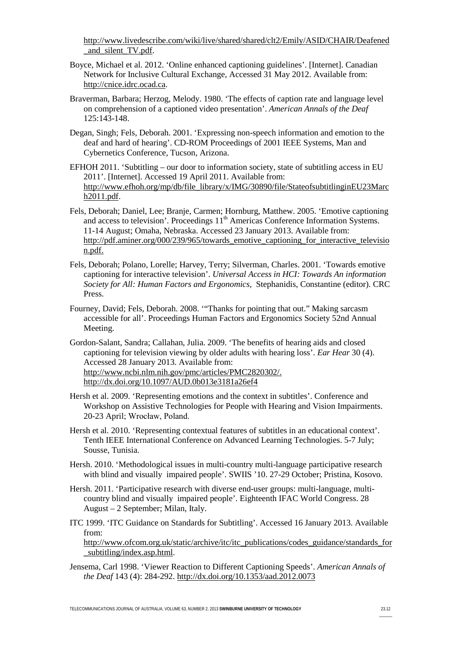[http://www.livedescribe.com/wiki/live/shared/shared/clt2/Emily/ASID/CHAIR/Deafened](http://www.livedescribe.com/wiki/live/shared/shared/clt2/Emily/ASID/CHAIR/Deafened_and_silent_TV.pdf) and silent TV.pdf.

- <span id="page-11-11"></span>Boyce, Michael et al. 2012. 'Online enhanced captioning guidelines'. [Internet]. Canadian Network for Inclusive Cultural Exchange, Accessed 31 May 2012. Available from: [http://cnice.idrc.ocad.ca.](http://cnice.idrc.ocad.ca/)
- <span id="page-11-3"></span>Braverman, Barbara; Herzog, Melody. 1980. 'The effects of caption rate and language level on comprehension of a captioned video presentation'. *American Annals of the Deaf* 125:143-148.
- <span id="page-11-10"></span>Degan, Singh; Fels, Deborah. 2001. 'Expressing non-speech information and emotion to the deaf and hard of hearing'. CD-ROM Proceedings of 2001 IEEE Systems, Man and Cybernetics Conference, Tucson, Arizona.
- <span id="page-11-0"></span>EFHOH 2011. 'Subtitling – our door to information society, state of subtitling access in EU 2011'. [Internet]. Accessed 19 April 2011. Available from: [http://www.efhoh.org/mp/db/file\\_library/x/IMG/30890/file/StateofsubtitlinginEU23Marc](http://www.efhoh.org/mp/db/file_library/x/IMG/30890/file/StateofsubtitlinginEU23March2011.pdf) [h2011.pdf.](http://www.efhoh.org/mp/db/file_library/x/IMG/30890/file/StateofsubtitlinginEU23March2011.pdf)
- <span id="page-11-7"></span>Fels, Deborah; Daniel, Lee; Branje, Carmen; Hornburg, Matthew. 2005. 'Emotive captioning and access to television'. Proceedings  $11<sup>th</sup>$  Americas Conference Information Systems. 11-14 August; Omaha, Nebraska. Accessed 23 January 2013. Available from: [http://pdf.aminer.org/000/239/965/towards\\_emotive\\_captioning\\_for\\_interactive\\_televisio](http://pdf.aminer.org/000/239/965/towards_emotive_captioning_for_interactive_television.pdf.) [n.pdf.](http://pdf.aminer.org/000/239/965/towards_emotive_captioning_for_interactive_television.pdf.)
- <span id="page-11-9"></span>Fels, Deborah; Polano, Lorelle; Harvey, Terry; Silverman, Charles. 2001. 'Towards emotive captioning for interactive television'. *Universal Access in HCI: Towards An information Society for All: Human Factors and Ergonomics,* Stephanidis, Constantine (editor). CRC Press.
- <span id="page-11-4"></span>Fourney, David; Fels, Deborah. 2008. '"Thanks for pointing that out." Making sarcasm accessible for all'. Proceedings Human Factors and Ergonomics Society 52nd Annual Meeting.
- <span id="page-11-1"></span>Gordon-Salant, Sandra; Callahan, Julia. 2009. 'The benefits of hearing aids and closed captioning for television viewing by older adults with hearing loss'. *Ear Hear* 30 (4). Accessed 28 January 2013. Available from: [http://www.ncbi.nlm.nih.gov/pmc/articles/PMC2820302/.](http://www.ncbi.nlm.nih.gov/pmc/articles/PMC2820302/) <http://dx.doi.org/10.1097/AUD.0b013e3181a26ef4>
- <span id="page-11-8"></span>Hersh et al. 2009. 'Representing emotions and the context in subtitles'. Conference and Workshop on Assistive Technologies for People with Hearing and Vision Impairments. 20-23 April; Wrocław, Poland.
- <span id="page-11-6"></span>Hersh et al. 2010. 'Representing contextual features of subtitles in an educational context'. Tenth IEEE International Conference on Advanced Learning Technologies. 5-7 July; Sousse, Tunisia.
- <span id="page-11-12"></span>Hersh. 2010. 'Methodological issues in multi-country multi-language participative research with blind and visually impaired people'. SWIIS '10. 27-29 October; Pristina, Kosovo.
- <span id="page-11-13"></span>Hersh. 2011. 'Participative research with diverse end-user groups: multi-language, multicountry blind and visually impaired people'. Eighteenth IFAC World Congress. 28 August – 2 September; Milan, Italy.
- <span id="page-11-5"></span>ITC 1999. 'ITC Guidance on Standards for Subtitling'. Accessed 16 January 2013. Available from:
	- [http://www.ofcom.org.uk/static/archive/itc/itc\\_publications/codes\\_guidance/standards\\_for](http://www.ofcom.org.uk/static/archive/itc/itc_publications/codes_guidance/standards_for_subtitling/index.asp.html) [\\_subtitling/index.asp.html.](http://www.ofcom.org.uk/static/archive/itc/itc_publications/codes_guidance/standards_for_subtitling/index.asp.html)
- <span id="page-11-2"></span>Jensema, Carl 1998. 'Viewer Reaction to Different Captioning Speeds'. *American Annals of the Deaf* 143 (4): 284-292. <http://dx.doi.org/10.1353/aad.2012.0073>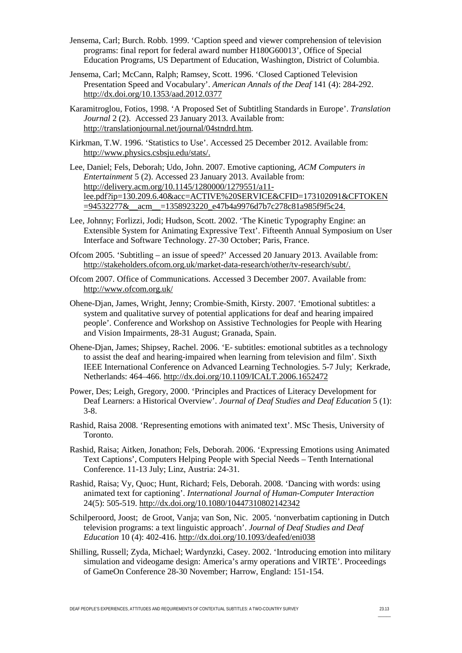- <span id="page-12-1"></span>Jensema, Carl; Burch. Robb. 1999. 'Caption speed and viewer comprehension of television programs: final report for federal award number H180G60013', Office of Special Education Programs, US Department of Education, Washington, District of Columbia.
- <span id="page-12-4"></span>Jensema, Carl; McCann, Ralph; Ramsey, Scott. 1996. 'Closed Captioned Television Presentation Speed and Vocabulary'. *American Annals of the Deaf* 141 (4): 284-292. <http://dx.doi.org/10.1353/aad.2012.0377>
- <span id="page-12-7"></span>Karamitroglou, Fotios, 1998. 'A Proposed Set of Subtitling Standards in Europe'. *Translation Journal* 2 (2). Accessed 23 January 2013. Available from: [http://translationjournal.net/journal/04stndrd.htm.](http://translationjournal.net/journal/04stndrd.htm)
- <span id="page-12-15"></span>Kirkman, T.W. 1996. 'Statistics to Use'. Accessed 25 December 2012. Available from: [http://www.physics.csbsju.edu/stats/.](http://www.physics.csbsju.edu/stats/)
- <span id="page-12-6"></span>Lee, Daniel; Fels, Deborah; Udo, John. 2007. Emotive captioning, *ACM Computers in Entertainment* 5 (2). Accessed 23 January 2013. Available from: [http://delivery.acm.org/10.1145/1280000/1279551/a11](http://delivery.acm.org/10.1145/1280000/1279551/a11-lee.pdf?ip=130.209.6.40&acc=ACTIVE%20SERVICE&CFID=173102091&CFTOKEN=94532277&__acm__=1358923220_e47b4a9976d7b7c278c81a985f9f5c24.) [lee.pdf?ip=130.209.6.40&acc=ACTIVE%20SERVICE&CFID=173102091&CFTOKEN](http://delivery.acm.org/10.1145/1280000/1279551/a11-lee.pdf?ip=130.209.6.40&acc=ACTIVE%20SERVICE&CFID=173102091&CFTOKEN=94532277&__acm__=1358923220_e47b4a9976d7b7c278c81a985f9f5c24.) [=94532277&\\_\\_acm\\_\\_=1358923220\\_e47b4a9976d7b7c278c81a985f9f5c24.](http://delivery.acm.org/10.1145/1280000/1279551/a11-lee.pdf?ip=130.209.6.40&acc=ACTIVE%20SERVICE&CFID=173102091&CFTOKEN=94532277&__acm__=1358923220_e47b4a9976d7b7c278c81a985f9f5c24.)
- <span id="page-12-9"></span>Lee, Johnny; Forlizzi, Jodi; Hudson, Scott. 2002. 'The Kinetic Typography Engine: an Extensible System for Animating Expressive Text'. Fifteenth Annual Symposium on User Interface and Software Technology. 27-30 October; Paris, France.
- <span id="page-12-5"></span>Ofcom 2005. 'Subtitling – an issue of speed?' Accessed 20 January 2013. Available from: [http://stakeholders.ofcom.org.uk/market-data-research/other/tv-research/subt/.](http://stakeholders.ofcom.org.uk/market-data-research/other/tv-research/subt/)
- <span id="page-12-0"></span>Ofcom 2007. Office of Communications. Accessed 3 December 2007. Available from: <http://www.ofcom.org.uk/>
- <span id="page-12-14"></span>Ohene-Djan, James, Wright, Jenny; Crombie-Smith, Kirsty. 2007. 'Emotional subtitles: a system and qualitative survey of potential applications for deaf and hearing impaired people'. Conference and Workshop on Assistive Technologies for People with Hearing and Vision Impairments, 28-31 August; Granada, Spain.
- <span id="page-12-13"></span>Ohene-Djan, James; Shipsey, Rachel. 2006. 'E- subtitles: emotional subtitles as a technology to assist the deaf and hearing-impaired when learning from television and film'. Sixth IEEE International Conference on Advanced Learning Technologies. 5-7 July; Kerkrade, Netherlands: 464–466. <http://dx.doi.org/10.1109/ICALT.2006.1652472>
- <span id="page-12-3"></span>Power, Des; Leigh, Gregory, 2000. 'Principles and Practices of Literacy Development for Deaf Learners: a Historical Overview'. *Journal of Deaf Studies and Deaf Education* 5 (1): 3-8.
- <span id="page-12-10"></span>Rashid, Raisa 2008. 'Representing emotions with animated text'. MSc Thesis, University of Toronto.
- <span id="page-12-11"></span>Rashid, Raisa; Aitken, Jonathon; Fels, Deborah. 2006. 'Expressing Emotions using Animated Text Captions', Computers Helping People with Special Needs – Tenth International Conference. 11-13 July; Linz, Austria: 24-31.
- <span id="page-12-12"></span>Rashid, Raisa; Vy, Quoc; Hunt, Richard; Fels, Deborah. 2008. 'Dancing with words: using animated text for captioning'. *International Journal of Human-Computer Interaction* 24(5): 505-519. <http://dx.doi.org/10.1080/10447310802142342>
- <span id="page-12-2"></span>Schilperoord, Joost; [de Groot,](http://jdsde.oxfordjournals.org/search?author1=Vanja+de+Groot&sortspec=date&submit=Submit) Vanja; [van Son,](http://jdsde.oxfordjournals.org/search?author1=Nic+van+Son&sortspec=date&submit=Submit) Nic. 2005. 'nonverbatim captioning in Dutch television programs: a text linguistic approach'. *Journal of Deaf Studies and Deaf Education* 10 (4): 402-416. <http://dx.doi.org/10.1093/deafed/eni038>
- <span id="page-12-8"></span>Shilling, Russell; Zyda, Michael; Wardynzki, Casey. 2002. 'Introducing emotion into military simulation and videogame design: America's army operations and VIRTE'. Proceedings of GameOn Conference 28-30 November; Harrow, England: 151-154.